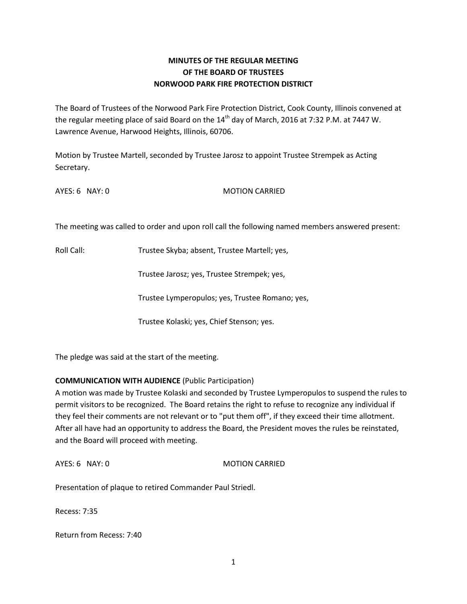## **MINUTES OF THE REGULAR MEETING OF THE BOARD OF TRUSTEES NORWOOD PARK FIRE PROTECTION DISTRICT**

The Board of Trustees of the Norwood Park Fire Protection District, Cook County, Illinois convened at the regular meeting place of said Board on the 14<sup>th</sup> day of March, 2016 at 7:32 P.M. at 7447 W. Lawrence Avenue, Harwood Heights, Illinois, 60706.

Motion by Trustee Martell, seconded by Trustee Jarosz to appoint Trustee Strempek as Acting Secretary.

AYES: 6 NAY: 0 MOTION CARRIED

The meeting was called to order and upon roll call the following named members answered present:

Roll Call: Trustee Skyba; absent, Trustee Martell; yes,

Trustee Jarosz; yes, Trustee Strempek; yes,

Trustee Lymperopulos; yes, Trustee Romano; yes,

Trustee Kolaski; yes, Chief Stenson; yes.

The pledge was said at the start of the meeting.

## **COMMUNICATION WITH AUDIENCE** (Public Participation)

A motion was made by Trustee Kolaski and seconded by Trustee Lymperopulos to suspend the rules to permit visitors to be recognized. The Board retains the right to refuse to recognize any individual if they feel their comments are not relevant or to "put them off", if they exceed their time allotment. After all have had an opportunity to address the Board, the President moves the rules be reinstated, and the Board will proceed with meeting.

AYES: 6 NAY: 0 MOTION CARRIED

Presentation of plaque to retired Commander Paul Striedl.

Recess: 7:35

Return from Recess: 7:40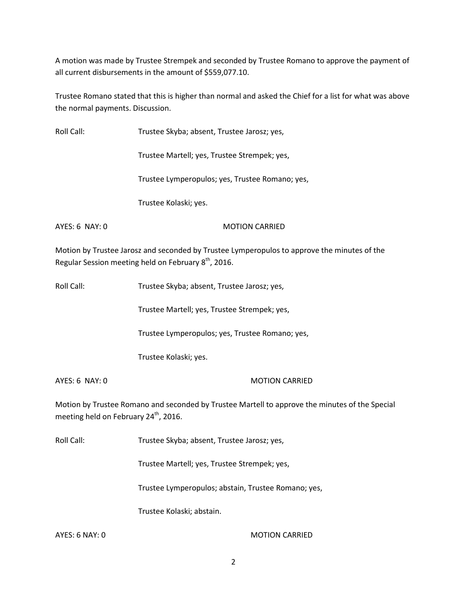A motion was made by Trustee Strempek and seconded by Trustee Romano to approve the payment of all current disbursements in the amount of \$559,077.10.

Trustee Romano stated that this is higher than normal and asked the Chief for a list for what was above the normal payments. Discussion.

| Roll Call:     | Trustee Skyba; absent, Trustee Jarosz; yes,                                                 |
|----------------|---------------------------------------------------------------------------------------------|
|                | Trustee Martell; yes, Trustee Strempek; yes,                                                |
|                | Trustee Lymperopulos; yes, Trustee Romano; yes,                                             |
|                | Trustee Kolaski; yes.                                                                       |
| AYES: 6 NAY: 0 | <b>MOTION CARRIED</b>                                                                       |
|                | Motion by Trustee Jarosz and seconded by Trustee Lymperopulos to approve the minutes of the |

Regular Session meeting held on February 8<sup>th</sup>, 2016.

Roll Call: Trustee Skyba; absent, Trustee Jarosz; yes,

Trustee Martell; yes, Trustee Strempek; yes,

Trustee Lymperopulos; yes, Trustee Romano; yes,

Trustee Kolaski; yes.

AYES: 6 NAY: 0 MOTION CARRIED

Motion by Trustee Romano and seconded by Trustee Martell to approve the minutes of the Special meeting held on February  $24^{th}$ , 2016.

Roll Call: Trustee Skyba; absent, Trustee Jarosz; yes,

Trustee Martell; yes, Trustee Strempek; yes,

Trustee Lymperopulos; abstain, Trustee Romano; yes,

Trustee Kolaski; abstain.

AYES: 6 NAY: 0 MOTION CARRIED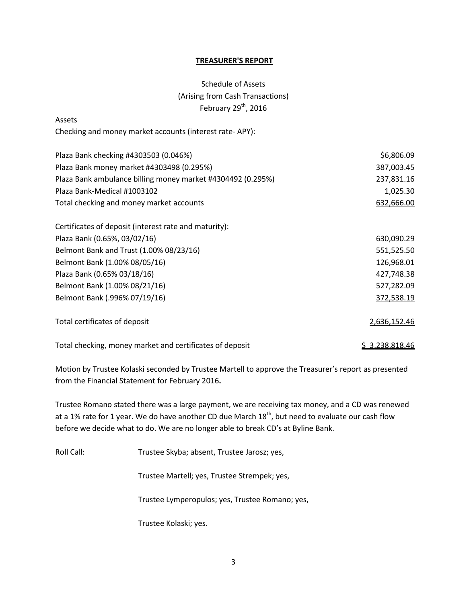#### **TREASURER'S REPORT**

# Schedule of Assets (Arising from Cash Transactions) February  $29^{th}$ , 2016

| Assets                                                      |                |
|-------------------------------------------------------------|----------------|
| Checking and money market accounts (interest rate-APY):     |                |
| Plaza Bank checking #4303503 (0.046%)                       | \$6,806.09     |
| Plaza Bank money market #4303498 (0.295%)                   | 387,003.45     |
| Plaza Bank ambulance billing money market #4304492 (0.295%) | 237,831.16     |
| Plaza Bank-Medical #1003102                                 | 1,025.30       |
| Total checking and money market accounts                    | 632,666.00     |
| Certificates of deposit (interest rate and maturity):       |                |
| Plaza Bank (0.65%, 03/02/16)                                | 630,090.29     |
| Belmont Bank and Trust (1.00% 08/23/16)                     | 551,525.50     |
| Belmont Bank (1.00% 08/05/16)                               | 126,968.01     |
| Plaza Bank (0.65% 03/18/16)                                 | 427,748.38     |
| Belmont Bank (1.00% 08/21/16)                               | 527,282.09     |
| Belmont Bank (.996% 07/19/16)                               | 372,538.19     |
| Total certificates of deposit                               | 2,636,152.46   |
| Total checking, money market and certificates of deposit    | \$3,238,818.46 |

Motion by Trustee Kolaski seconded by Trustee Martell to approve the Treasurer's report as presented from the Financial Statement for February 2016**.** 

Trustee Romano stated there was a large payment, we are receiving tax money, and a CD was renewed at a 1% rate for 1 year. We do have another CD due March  $18<sup>th</sup>$ , but need to evaluate our cash flow before we decide what to do. We are no longer able to break CD's at Byline Bank.

Roll Call: Trustee Skyba; absent, Trustee Jarosz; yes,

Trustee Martell; yes, Trustee Strempek; yes,

Trustee Lymperopulos; yes, Trustee Romano; yes,

Trustee Kolaski; yes.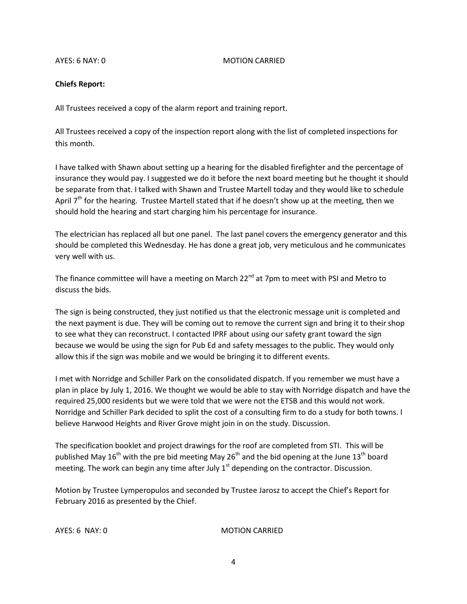#### AYES: 6 NAY: 0 MOTION CARRIED

#### **Chiefs Report:**

All Trustees received a copy of the alarm report and training report.

All Trustees received a copy of the inspection report along with the list of completed inspections for this month.

I have talked with Shawn about setting up a hearing for the disabled firefighter and the percentage of insurance they would pay. I suggested we do it before the next board meeting but he thought it should be separate from that. I talked with Shawn and Trustee Martell today and they would like to schedule April  $7<sup>th</sup>$  for the hearing. Trustee Martell stated that if he doesn't show up at the meeting, then we should hold the hearing and start charging him his percentage for insurance.

The electrician has replaced all but one panel. The last panel covers the emergency generator and this should be completed this Wednesday. He has done a great job, very meticulous and he communicates very well with us.

The finance committee will have a meeting on March 22 $<sup>nd</sup>$  at 7pm to meet with PSI and Metro to</sup> discuss the bids.

The sign is being constructed, they just notified us that the electronic message unit is completed and the next payment is due. They will be coming out to remove the current sign and bring it to their shop to see what they can reconstruct. I contacted IPRF about using our safety grant toward the sign because we would be using the sign for Pub Ed and safety messages to the public. They would only allow this if the sign was mobile and we would be bringing it to different events.

I met with Norridge and Schiller Park on the consolidated dispatch. If you remember we must have a plan in place by July 1, 2016. We thought we would be able to stay with Norridge dispatch and have the required 25,000 residents but we were told that we were not the ETSB and this would not work. Norridge and Schiller Park decided to split the cost of a consulting firm to do a study for both towns. I believe Harwood Heights and River Grove might join in on the study. Discussion.

The specification booklet and project drawings for the roof are completed from STI. This will be published May 16<sup>th</sup> with the pre bid meeting May 26<sup>th</sup> and the bid opening at the June 13<sup>th</sup> board meeting. The work can begin any time after July  $1<sup>st</sup>$  depending on the contractor. Discussion.

Motion by Trustee Lymperopulos and seconded by Trustee Jarosz to accept the Chief's Report for February 2016 as presented by the Chief.

AYES: 6 NAY: 0 MOTION CARRIED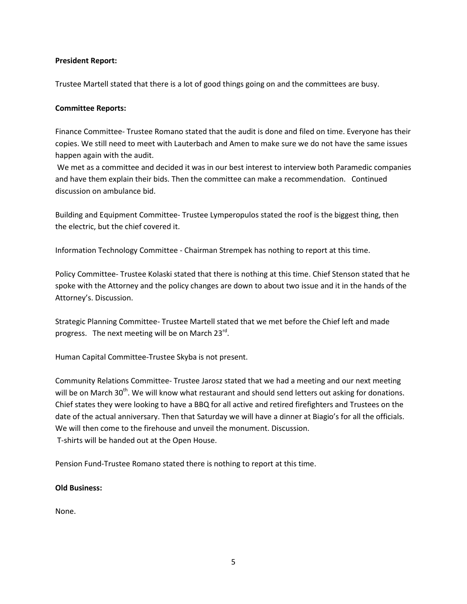#### **President Report:**

Trustee Martell stated that there is a lot of good things going on and the committees are busy.

#### **Committee Reports:**

Finance Committee- Trustee Romano stated that the audit is done and filed on time. Everyone has their copies. We still need to meet with Lauterbach and Amen to make sure we do not have the same issues happen again with the audit.

We met as a committee and decided it was in our best interest to interview both Paramedic companies and have them explain their bids. Then the committee can make a recommendation. Continued discussion on ambulance bid.

Building and Equipment Committee- Trustee Lymperopulos stated the roof is the biggest thing, then the electric, but the chief covered it.

Information Technology Committee - Chairman Strempek has nothing to report at this time.

Policy Committee- Trustee Kolaski stated that there is nothing at this time. Chief Stenson stated that he spoke with the Attorney and the policy changes are down to about two issue and it in the hands of the Attorney's. Discussion.

Strategic Planning Committee- Trustee Martell stated that we met before the Chief left and made progress. The next meeting will be on March 23<sup>rd</sup>.

Human Capital Committee-Trustee Skyba is not present.

Community Relations Committee- Trustee Jarosz stated that we had a meeting and our next meeting will be on March 30<sup>th</sup>. We will know what restaurant and should send letters out asking for donations. Chief states they were looking to have a BBQ for all active and retired firefighters and Trustees on the date of the actual anniversary. Then that Saturday we will have a dinner at Biagio's for all the officials. We will then come to the firehouse and unveil the monument. Discussion. T-shirts will be handed out at the Open House.

Pension Fund-Trustee Romano stated there is nothing to report at this time.

### **Old Business:**

None.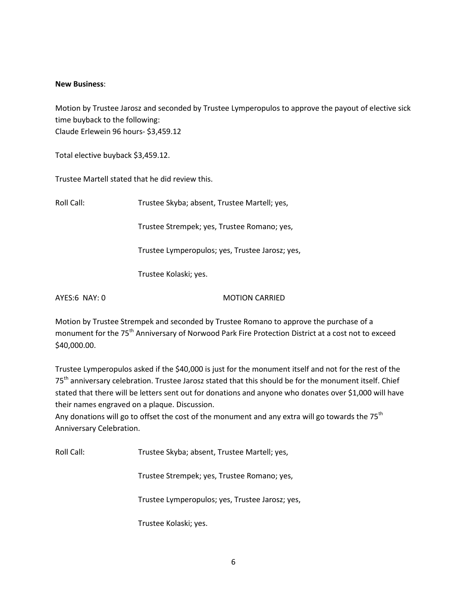#### **New Business**:

Motion by Trustee Jarosz and seconded by Trustee Lymperopulos to approve the payout of elective sick time buyback to the following: Claude Erlewein 96 hours- \$3,459.12

Total elective buyback \$3,459.12.

Trustee Martell stated that he did review this.

| Roll Call:    | Trustee Skyba; absent, Trustee Martell; yes,    |
|---------------|-------------------------------------------------|
|               | Trustee Strempek; yes, Trustee Romano; yes,     |
|               | Trustee Lymperopulos; yes, Trustee Jarosz; yes, |
|               | Trustee Kolaski; yes.                           |
| AYES:6 NAY: 0 | <b>MOTION CARRIED</b>                           |

Motion by Trustee Strempek and seconded by Trustee Romano to approve the purchase of a monument for the 75<sup>th</sup> Anniversary of Norwood Park Fire Protection District at a cost not to exceed \$40,000.00.

Trustee Lymperopulos asked if the \$40,000 is just for the monument itself and not for the rest of the 75<sup>th</sup> anniversary celebration. Trustee Jarosz stated that this should be for the monument itself. Chief stated that there will be letters sent out for donations and anyone who donates over \$1,000 will have their names engraved on a plaque. Discussion.

Any donations will go to offset the cost of the monument and any extra will go towards the  $75<sup>th</sup>$ Anniversary Celebration.

Roll Call: Trustee Skyba; absent, Trustee Martell; yes,

Trustee Strempek; yes, Trustee Romano; yes,

Trustee Lymperopulos; yes, Trustee Jarosz; yes,

Trustee Kolaski; yes.